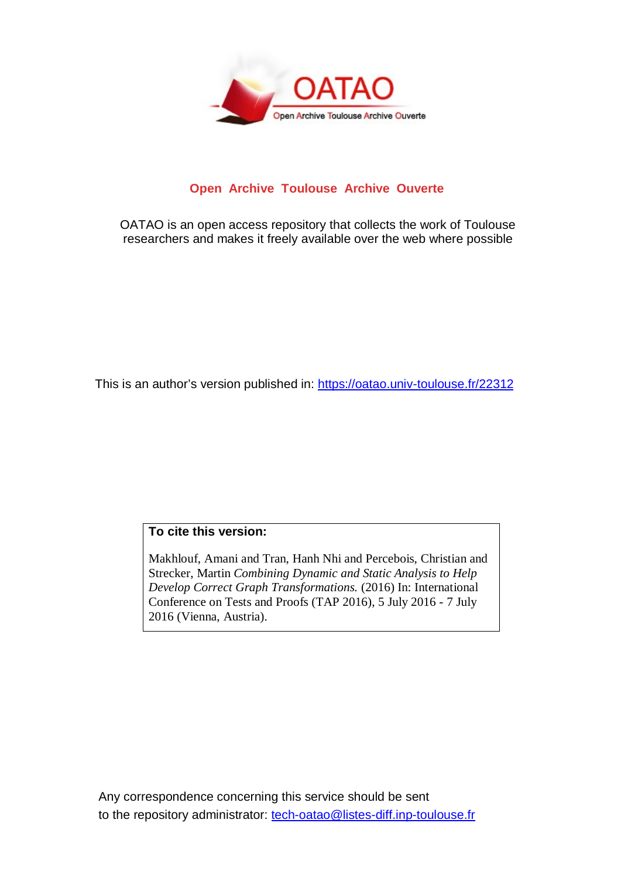

# **Open Archive Toulouse Archive Ouverte**

OATAO is an open access repository that collects the work of Toulouse researchers and makes it freely available over the web where possible

This is an author's version published in:<https://oatao.univ-toulouse.fr/22312>

# **To cite this version:**

Makhlouf, Amani and Tran, Hanh Nhi and Percebois, Christian and Strecker, Martin *Combining Dynamic and Static Analysis to Help Develop Correct Graph Transformations.* (2016) In: International Conference on Tests and Proofs (TAP 2016), 5 July 2016 - 7 July 2016 (Vienna, Austria).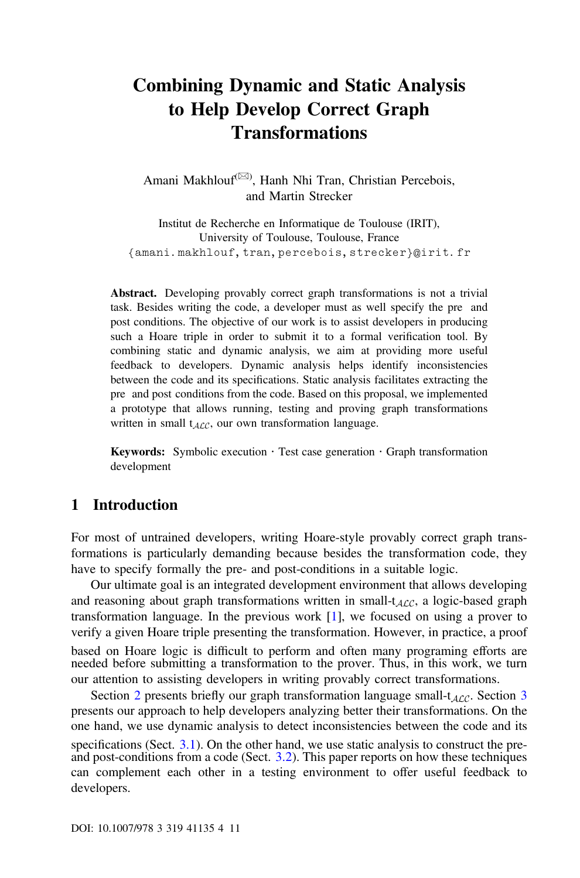# Combining Dynamic and Static Analysis to Help Develop Correct Graph Transformations

Amani Makhlouf<sup>(⊠)</sup>, Hanh Nhi Tran, Christian Percebois, and Martin Strecker

Institut de Recherche en Informatique de Toulouse (IRIT), University of Toulouse, Toulouse, France {amani.makhlouf,tran,percebois,strecker}@irit.fr

Abstract. Developing provably correct graph transformations is not a trivial task. Besides writing the code, a developer must as well specify the pre and post conditions. The objective of our work is to assist developers in producing such a Hoare triple in order to submit it to a formal verification tool. By combining static and dynamic analysis, we aim at providing more useful feedback to developers. Dynamic analysis helps identify inconsistencies between the code and its specifications. Static analysis facilitates extracting the pre and post conditions from the code. Based on this proposal, we implemented a prototype that allows running, testing and proving graph transformations written in small  $t_{\text{ALC}}$ , our own transformation language.

Keywords: Symbolic execution  $\cdot$  Test case generation  $\cdot$  Graph transformation development

### 1 Introduction

For most of untrained developers, writing Hoare-style provably correct graph transformations is particularly demanding because besides the transformation code, they have to specify formally the pre- and post-conditions in a suitable logic.

Our ultimate goal is an integrated development environment that allows developing and reasoning about graph transformations written in small- $t_{A\mathcal{LC}}$ , a logic-based graph transformation language. In the previous work [[1\]](#page-8-0), we focused on using a prover to verify a given Hoare triple presenting the transformation. However, in practice, a proof

based on Hoare logic is difficult to perform and often many programing efforts are needed before submitting a transformation to the prover. Thus, in this work, we turn our attention to assisting developers in writing provably correct transformations.

Section [2](#page-2-0) presents briefly our graph transformation language small- $t_{A\mathcal{LC}}$ . Section [3](#page-3-0) presents our approach to help developers analyzing better their transformations. On the one hand, we use dynamic analysis to detect inconsistencies between the code and its specifications (Sect. [3.1\)](#page-3-0). On the other hand, we use static analysis to construct the preand post-conditions from a code (Sect. [3.2](#page-4-0)). This paper reports on how these techniques can complement each other in a testing environment to offer useful feedback to developers.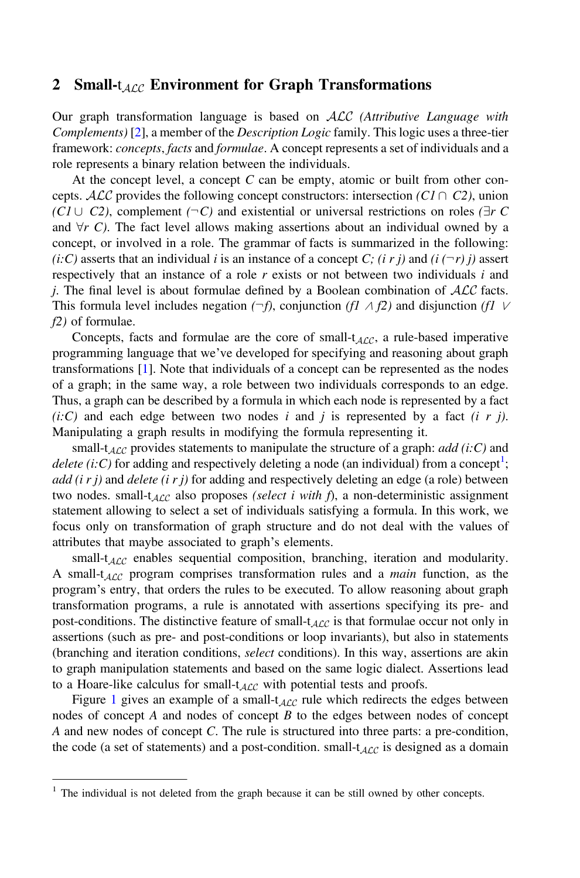#### <span id="page-2-0"></span>2 Small-t<sub>ACC</sub> Environment for Graph Transformations

Our graph transformation language is based on ALC (Attributive Language with Complements) [\[2](#page-8-0)], a member of the Description Logic family. This logic uses a three-tier framework: concepts, facts and formulae. A concept represents a set of individuals and a role represents a binary relation between the individuals.

At the concept level, a concept  $C$  can be empty, atomic or built from other concepts. ALC provides the following concept constructors: intersection (C1  $\cap$  C2), union  $(C1 \cup C2)$ , complement ( $\neg C$ ) and existential or universal restrictions on roles ( $\exists r \ C$ and  $\forall r$  C). The fact level allows making assertions about an individual owned by a concept, or involved in a role. The grammar of facts is summarized in the following:  $(i:C)$  asserts that an individual i is an instance of a concept C;  $(i r j)$  and  $(i (\neg r) j)$  assert respectively that an instance of a role  $r$  exists or not between two individuals  $i$  and j. The final level is about formulae defined by a Boolean combination of  $ALC$  facts. This formula level includes negation  $(\neg f)$ , conjunction (f1  $\land$  f2) and disjunction (f1  $\lor$ f2) of formulae.

Concepts, facts and formulae are the core of small-t<sub>ACC</sub>, a rule-based imperative programming language that we've developed for specifying and reasoning about graph transformations [[1\]](#page-8-0). Note that individuals of a concept can be represented as the nodes of a graph; in the same way, a role between two individuals corresponds to an edge. Thus, a graph can be described by a formula in which each node is represented by a fact  $(i:C)$  and each edge between two nodes i and j is represented by a fact  $(i r j)$ . Manipulating a graph results in modifying the formula representing it.

small-t<sub>ACC</sub> provides statements to manipulate the structure of a graph:  $add (i:C)$  and *delete (i:C)* for adding and respectively deleting a node (an individual) from a concept<sup>1</sup>; add (i r j) and delete (i r j) for adding and respectively deleting an edge (a role) between two nodes. small-t<sub>ACC</sub> also proposes (select i with f), a non-deterministic assignment statement allowing to select a set of individuals satisfying a formula. In this work, we focus only on transformation of graph structure and do not deal with the values of attributes that maybe associated to graph's elements.

small-t<sub>ACC</sub> enables sequential composition, branching, iteration and modularity. A small- $t_{A\mathcal{LC}}$  program comprises transformation rules and a *main* function, as the program's entry, that orders the rules to be executed. To allow reasoning about graph transformation programs, a rule is annotated with assertions specifying its pre- and post-conditions. The distinctive feature of small-t<sub>ACC</sub> is that formulae occur not only in assertions (such as pre- and post-conditions or loop invariants), but also in statements (branching and iteration conditions, select conditions). In this way, assertions are akin to graph manipulation statements and based on the same logic dialect. Assertions lead to a Hoare-like calculus for small- $t_{\text{ALC}}$  with potential tests and proofs.

Figure [1](#page-3-0) gives an example of a small- $t_{\text{ALC}}$  rule which redirects the edges between nodes of concept  $A$  and nodes of concept  $B$  to the edges between nodes of concept A and new nodes of concept C. The rule is structured into three parts: a pre-condition, the code (a set of statements) and a post-condition. small- $t_{\text{ALC}}$  is designed as a domain

 $1$  The individual is not deleted from the graph because it can be still owned by other concepts.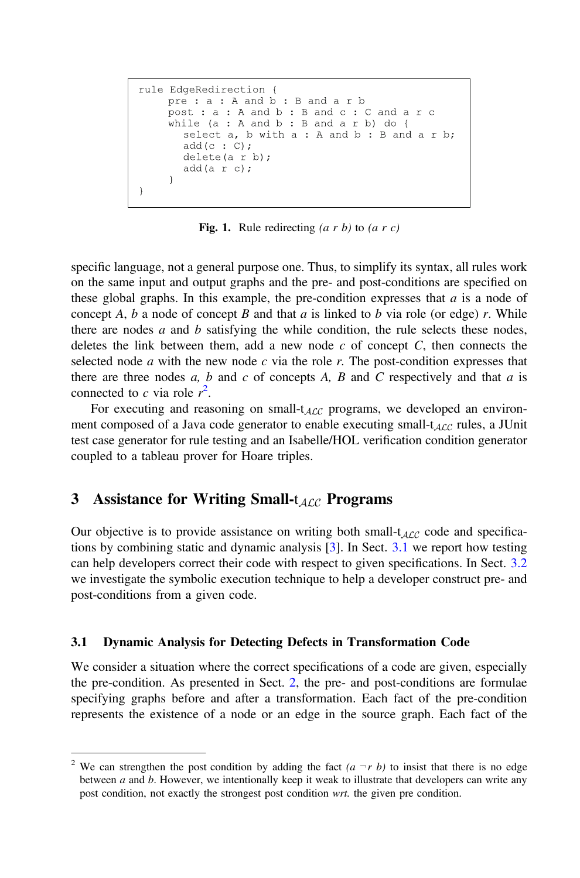```
rule EdgeRedirection {
pre: a : A and b : B and a r b
 post : a : A and b : B and c : C and a r c
 while (a : A \text{ and } b : B \text{ and } a \text{ r } b) do {
    select a, b with a : A and b : B and a r b;
    add(c : C);delete(a r b);add(a r c);\overline{\phantom{a}}\overline{\phantom{a}}
```
Fig. 1. Rule redirecting  $(a r b)$  to  $(a r c)$ 

specific language, not a general purpose one. Thus, to simplify its syntax, all rules work on the same input and output graphs and the pre- and post-conditions are specified on these global graphs. In this example, the pre-condition expresses that  $a$  is a node of concept A, b a node of concept B and that a is linked to b via role (or edge) r. While there are nodes  $a$  and  $b$  satisfying the while condition, the rule selects these nodes, deletes the link between them, add a new node  $c$  of concept  $C$ , then connects the selected node a with the new node c via the role r. The post-condition expresses that there are three nodes a, b and c of concepts A, B and C respectively and that a is connected to c via role  $r^2$ .

For executing and reasoning on small- $t_{ACC}$  programs, we developed an environment composed of a Java code generator to enable executing small- $t_{\text{ACC}}$  rules, a JUnit test case generator for rule testing and an Isabelle/HOL verification condition generator coupled to a tableau prover for Hoare triples.

## 3 Assistance for Writing Small- $t_{\text{ACC}}$  Programs

Our objective is to provide assistance on writing both small- $t_{\text{ALC}}$  code and specifications by combining static and dynamic analysis  $[3]$  $[3]$ . In Sect. 3.1 we report how testing can help developers correct their code with respect to given specifications. In Sect. [3.2](#page-4-0) we investigate the symbolic execution technique to help a developer construct pre- and post-conditions from a given code.

#### 3.1 Dynamic Analysis for Detecting Defects in Transformation Code

We consider a situation where the correct specifications of a code are given, especially the pre-condition. As presented in Sect. [2](#page-2-0), the pre- and post-conditions are formulae specifying graphs before and after a transformation. Each fact of the pre-condition represents the existence of a node or an edge in the source graph. Each fact of the

<sup>&</sup>lt;sup>2</sup> We can strengthen the post condition by adding the fact  $(a \neg r b)$  to insist that there is no edge between  $a$  and  $b$ . However, we intentionally keep it weak to illustrate that developers can write any post condition, not exactly the strongest post condition wrt. the given pre condition.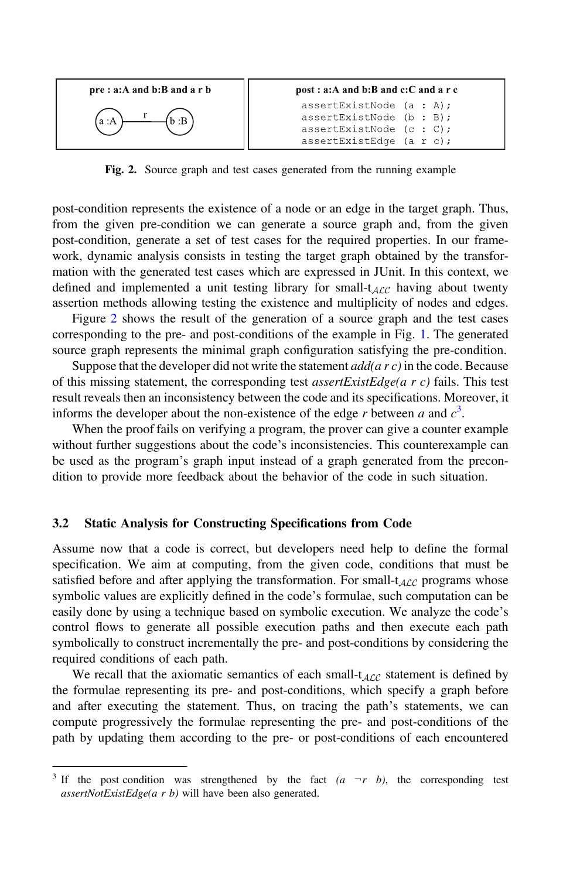<span id="page-4-0"></span>

Fig. 2. Source graph and test cases generated from the running example

post-condition represents the existence of a node or an edge in the target graph. Thus, from the given pre-condition we can generate a source graph and, from the given post-condition, generate a set of test cases for the required properties. In our framework, dynamic analysis consists in testing the target graph obtained by the transformation with the generated test cases which are expressed in JUnit. In this context, we defined and implemented a unit testing library for small- $t_{\text{ACC}}$  having about twenty assertion methods allowing testing the existence and multiplicity of nodes and edges.

Figure 2 shows the result of the generation of a source graph and the test cases corresponding to the pre- and post-conditions of the example in Fig. [1](#page-3-0). The generated source graph represents the minimal graph configuration satisfying the pre-condition.

Suppose that the developer did not write the statement  $add(a\,r\,c)$  in the code. Because of this missing statement, the corresponding test *assertExistEdge(a r c)* fails. This test result reveals then an inconsistency between the code and its specifications. Moreover, it informs the developer about the non-existence of the edge r between a and  $c^3$ .

When the proof fails on verifying a program, the prover can give a counter example without further suggestions about the code's inconsistencies. This counterexample can be used as the program's graph input instead of a graph generated from the precondition to provide more feedback about the behavior of the code in such situation.

#### 3.2 Static Analysis for Constructing Specifications from Code

Assume now that a code is correct, but developers need help to define the formal specification. We aim at computing, from the given code, conditions that must be satisfied before and after applying the transformation. For small- $t_{\text{ALC}}$  programs whose symbolic values are explicitly defined in the code's formulae, such computation can be easily done by using a technique based on symbolic execution. We analyze the code's control flows to generate all possible execution paths and then execute each path symbolically to construct incrementally the pre- and post-conditions by considering the required conditions of each path.

We recall that the axiomatic semantics of each small-t<sub>ACC</sub> statement is defined by the formulae representing its pre- and post-conditions, which specify a graph before and after executing the statement. Thus, on tracing the path's statements, we can compute progressively the formulae representing the pre- and post-conditions of the path by updating them according to the pre- or post-conditions of each encountered

<sup>&</sup>lt;sup>3</sup> If the post condition was strengthened by the fact  $(a \rightharpoondown b)$ , the corresponding test assertNotExistEdge(a r b) will have been also generated.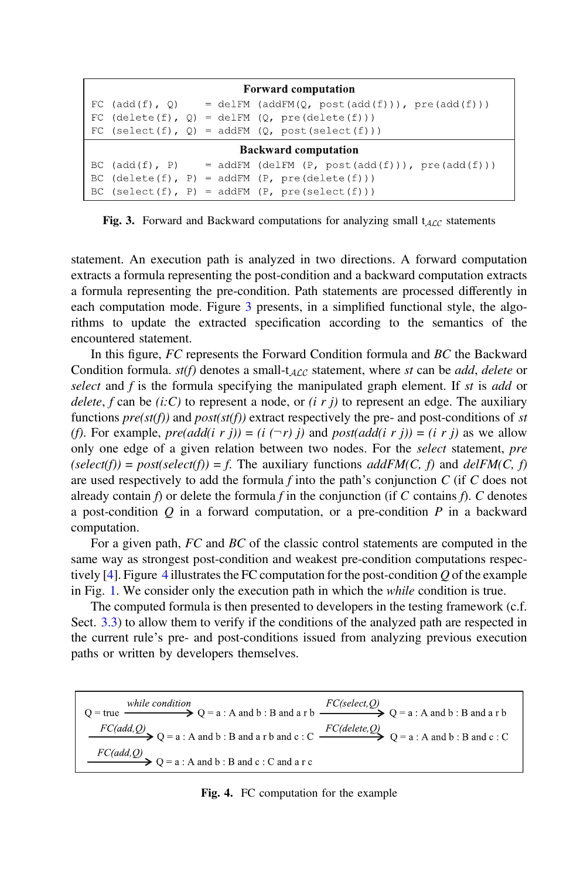| <b>Forward computation</b> |  |  |  |                                                                                                                  |  |  |
|----------------------------|--|--|--|------------------------------------------------------------------------------------------------------------------|--|--|
|                            |  |  |  | $FC (add(f), Q) = delFM (addFM(Q, post(add(f))), pre(add(f)))$                                                   |  |  |
|                            |  |  |  | FC $(delete(f), Q) = delFM(Q, pre(delete(f)))$                                                                   |  |  |
|                            |  |  |  | FC (select(f), $Q$ ) = addFM ( $Q$ , post(select(f)))                                                            |  |  |
|                            |  |  |  |                                                                                                                  |  |  |
|                            |  |  |  | <b>Backward computation</b>                                                                                      |  |  |
|                            |  |  |  | BC $(\text{add}(f), P) = \text{addFM} (\text{delFM}(P, \text{post}(\text{add}(f))), \text{pre}(\text{add}(f))))$ |  |  |
|                            |  |  |  | BC $(delete(f), P) = addFM(P, pre(delete(f)))$                                                                   |  |  |

Fig. 3. Forward and Backward computations for analyzing small  $t_{AC}$  statements

statement. An execution path is analyzed in two directions. A forward computation extracts a formula representing the post-condition and a backward computation extracts a formula representing the pre-condition. Path statements are processed differently in each computation mode. Figure 3 presents, in a simplified functional style, the algorithms to update the extracted specification according to the semantics of the encountered statement.

In this figure, FC represents the Forward Condition formula and BC the Backward Condition formula. st(f) denotes a small-t  $_{AC}$  statement, where st can be *add, delete* or select and  $f$  is the formula specifying the manipulated graph element. If  $st$  is add or delete, f can be (i:C) to represent a node, or (i r j) to represent an edge. The auxiliary functions  $pref(st(f))$  and  $post(st(f))$  extract respectively the pre- and post-conditions of st (f). For example,  $pre(add(i \ r \ j)) = (i (\neg r) \ j)$  and  $post(add(i \ r \ j)) = (i \ r \ j)$  as we allow only one edge of a given relation between two nodes. For the select statement, pre (select(f)) = post(select(f)) = f. The auxiliary functions  $addFM(C, f)$  and  $delFM(C, f)$ are used respectively to add the formula f into the path's conjunction  $C$  (if  $C$  does not already contain f) or delete the formula f in the conjunction (if C contains f). C denotes a post-condition  $Q$  in a forward computation, or a pre-condition  $P$  in a backward computation.

For a given path, FC and BC of the classic control statements are computed in the same way as strongest post-condition and weakest pre-condition computations respec-tively [\[4](#page-8-0)]. Figure 4 illustrates the FC computation for the post-condition  $Q$  of the example in Fig. [1](#page-3-0). We consider only the execution path in which the while condition is true.

The computed formula is then presented to developers in the testing framework (c.f. Sect. [3.3](#page-6-0)) to allow them to verify if the conditions of the analyzed path are respected in the current rule's pre- and post-conditions issued from analyzing previous execution paths or written by developers themselves.

| while condition<br>Q = true $\xrightarrow{\text{while condition}} Q = a : A \text{ and } b : B \text{ and } a \text{ r b} \xrightarrow{\text{FC}(select, Q)} Q = a : A \text{ and } b : B \text{ and } a \text{ r b}$ | FC(select, Q) |
|-----------------------------------------------------------------------------------------------------------------------------------------------------------------------------------------------------------------------|---------------|
| $\frac{FC(add, Q)}{Q}$ $Q = a : A$ and b : B and a r b and c : C $\frac{FC(delete, Q)}{Q}$ $Q = a : A$ and b : B and c : C                                                                                            |               |
| $\overline{FC(add,Q)}$ $\rightarrow$ Q = a : A and b : B and c : C and a r c                                                                                                                                          |               |

Fig. 4. FC computation for the example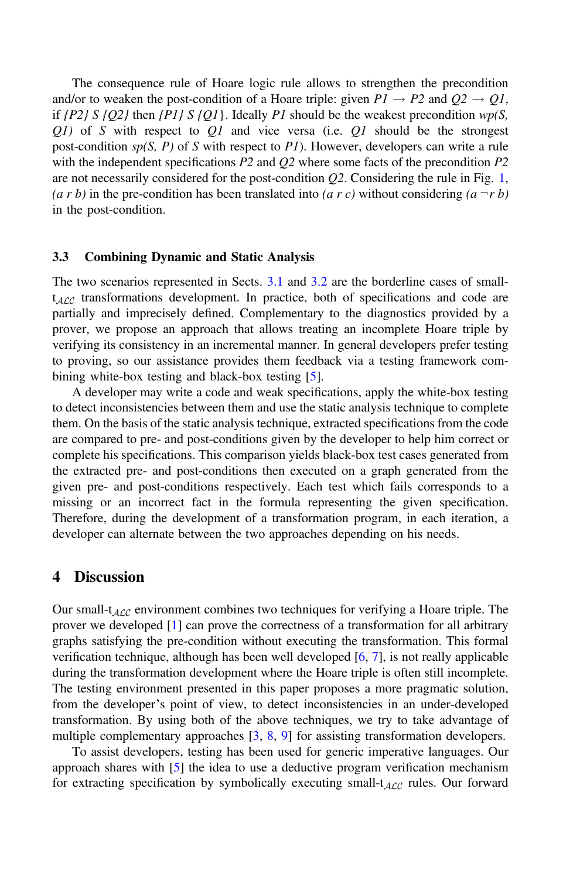<span id="page-6-0"></span>The consequence rule of Hoare logic rule allows to strengthen the precondition and/or to weaken the post-condition of a Hoare triple: given  $PI \rightarrow P2$  and  $Q2 \rightarrow Q1$ , if  ${P2} S {Q2}$  then  ${P1} S {Q1}$ . Ideally P1 should be the weakest precondition wp(S,  $Q1$ ) of S with respect to  $Q1$  and vice versa (i.e.  $Q1$  should be the strongest post-condition  $sp(S, P)$  of S with respect to P1). However, developers can write a rule with the independent specifications  $P2$  and  $Q2$  where some facts of the precondition  $P2$ are not necessarily considered for the post-condition  $Q2$ . Considering the rule in Fig. [1](#page-3-0),  $(a r b)$  in the pre-condition has been translated into  $(a r c)$  without considering  $(a \neg r b)$ in the post-condition.

#### 3.3 Combining Dynamic and Static Analysis

The two scenarios represented in Sects. [3.1](#page-3-0) and [3.2](#page-4-0) are the borderline cases of small $t_{A\ell\ell}$  transformations development. In practice, both of specifications and code are partially and imprecisely defined. Complementary to the diagnostics provided by a prover, we propose an approach that allows treating an incomplete Hoare triple by verifying its consistency in an incremental manner. In general developers prefer testing to proving, so our assistance provides them feedback via a testing framework com-bining white-box testing and black-box testing [[5\]](#page-8-0).

A developer may write a code and weak specifications, apply the white-box testing to detect inconsistencies between them and use the static analysis technique to complete them. On the basis of the static analysis technique, extracted specifications from the code are compared to pre- and post-conditions given by the developer to help him correct or complete his specifications. This comparison yields black-box test cases generated from the extracted pre- and post-conditions then executed on a graph generated from the given pre- and post-conditions respectively. Each test which fails corresponds to a missing or an incorrect fact in the formula representing the given specification. Therefore, during the development of a transformation program, in each iteration, a developer can alternate between the two approaches depending on his needs.

#### 4 Discussion

Our small-t<sub>ACC</sub> environment combines two techniques for verifying a Hoare triple. The prover we developed [[1\]](#page-8-0) can prove the correctness of a transformation for all arbitrary graphs satisfying the pre-condition without executing the transformation. This formal verification technique, although has been well developed [[6,](#page-8-0) [7\]](#page-8-0), is not really applicable during the transformation development where the Hoare triple is often still incomplete. The testing environment presented in this paper proposes a more pragmatic solution, from the developer's point of view, to detect inconsistencies in an under-developed transformation. By using both of the above techniques, we try to take advantage of multiple complementary approaches [[3,](#page-8-0) [8](#page-8-0), [9](#page-8-0)] for assisting transformation developers.

To assist developers, testing has been used for generic imperative languages. Our approach shares with [\[5](#page-8-0)] the idea to use a deductive program verification mechanism for extracting specification by symbolically executing small- $t_{A\mathcal{LC}}$  rules. Our forward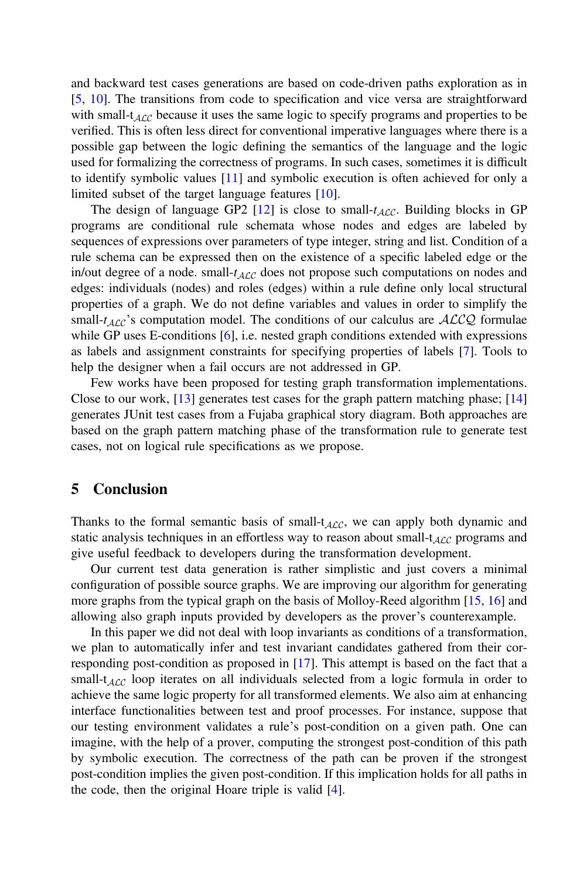and backward test cases generations are based on code-driven paths exploration as in [\[5](#page-8-0), [10](#page-8-0)]. The transitions from code to specification and vice versa are straightforward with small- $t_{\text{ALC}}$  because it uses the same logic to specify programs and properties to be verified. This is often less direct for conventional imperative languages where there is a possible gap between the logic defining the semantics of the language and the logic used for formalizing the correctness of programs. In such cases, sometimes it is difficult to identify symbolic values [[11\]](#page-8-0) and symbolic execution is often achieved for only a limited subset of the target language features [\[10](#page-8-0)].

The design of language GP2 [[12\]](#page-8-0) is close to small- $t_{\text{ALC}}$ . Building blocks in GP programs are conditional rule schemata whose nodes and edges are labeled by sequences of expressions over parameters of type integer, string and list. Condition of a rule schema can be expressed then on the existence of a specific labeled edge or the in/out degree of a node. small- $t_{\text{ACC}}$  does not propose such computations on nodes and edges: individuals (nodes) and roles (edges) within a rule define only local structural properties of a graph. We do not define variables and values in order to simplify the small-t<sub>ACC</sub>'s computation model. The conditions of our calculus are  $\text{ALCQ}$  formulae while GP uses E-conditions [[6\]](#page-8-0), i.e. nested graph conditions extended with expressions as labels and assignment constraints for specifying properties of labels [\[7](#page-8-0)]. Tools to help the designer when a fail occurs are not addressed in GP.

Few works have been proposed for testing graph transformation implementations. Close to our work, [[13\]](#page-8-0) generates test cases for the graph pattern matching phase; [\[14](#page-8-0)] generates JUnit test cases from a Fujaba graphical story diagram. Both approaches are based on the graph pattern matching phase of the transformation rule to generate test cases, not on logical rule specifications as we propose.

#### 5 Conclusion

Thanks to the formal semantic basis of small-t<sub>Acc</sub>, we can apply both dynamic and static analysis techniques in an effortless way to reason about small- $t_{\text{ALC}}$  programs and give useful feedback to developers during the transformation development.

Our current test data generation is rather simplistic and just covers a minimal configuration of possible source graphs. We are improving our algorithm for generating more graphs from the typical graph on the basis of Molloy-Reed algorithm [[15,](#page-8-0) [16\]](#page-8-0) and allowing also graph inputs provided by developers as the prover's counterexample.

In this paper we did not deal with loop invariants as conditions of a transformation, we plan to automatically infer and test invariant candidates gathered from their corresponding post-condition as proposed in [\[17](#page-8-0)]. This attempt is based on the fact that a small-t<sub>ACC</sub> loop iterates on all individuals selected from a logic formula in order to achieve the same logic property for all transformed elements. We also aim at enhancing interface functionalities between test and proof processes. For instance, suppose that our testing environment validates a rule's post-condition on a given path. One can imagine, with the help of a prover, computing the strongest post-condition of this path by symbolic execution. The correctness of the path can be proven if the strongest post-condition implies the given post-condition. If this implication holds for all paths in the code, then the original Hoare triple is valid [\[4](#page-8-0)].